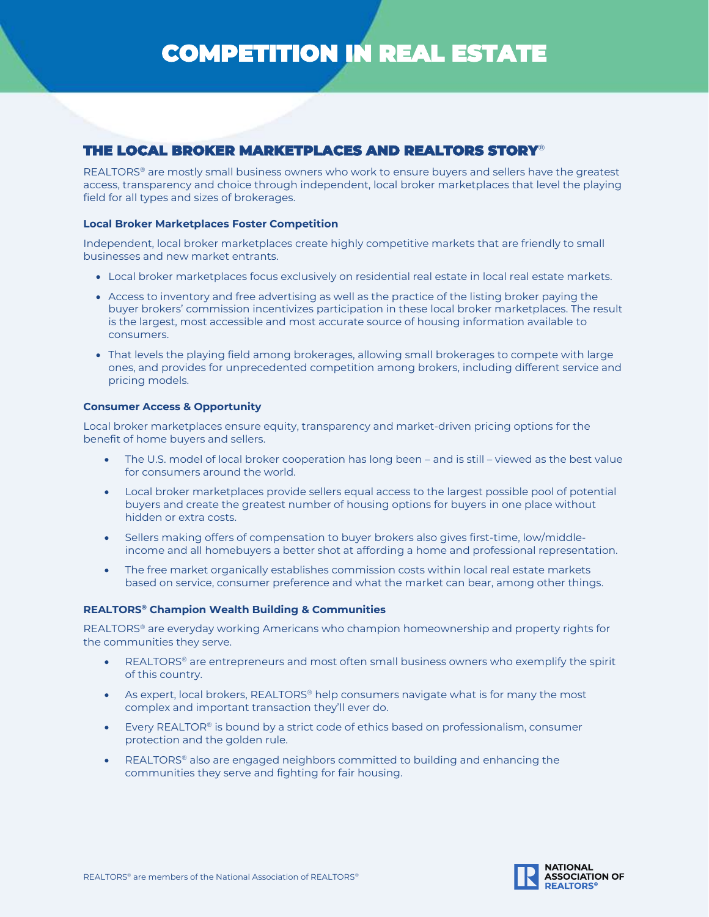# COMPETITION IN REAL ESTATE

# THE LOCAL BROKER MARKETPLACES AND REALTORS STORY®

REALTORS® are mostly small business owners who work to ensure buyers and sellers have the greatest access, transparency and choice through independent, local broker marketplaces that level the playing field for all types and sizes of brokerages.

# **Local Broker Marketplaces Foster Competition**

Independent, local broker marketplaces create highly competitive markets that are friendly to small businesses and new market entrants.

- Local broker marketplaces focus exclusively on residential real estate in local real estate markets.
- Access to inventory and free advertising as well as the practice of the listing broker paying the buyer brokers' commission incentivizes participation in these local broker marketplaces. The result is the largest, most accessible and most accurate source of housing information available to consumers.
- That levels the playing field among brokerages, allowing small brokerages to compete with large ones, and provides for unprecedented competition among brokers, including different service and pricing models.

# **Consumer Access & Opportunity**

Local broker marketplaces ensure equity, transparency and market-driven pricing options for the benefit of home buyers and sellers.

- The U.S. model of local broker cooperation has long been and is still viewed as the best value for consumers around the world.
- Local broker marketplaces provide sellers equal access to the largest possible pool of potential buyers and create the greatest number of housing options for buyers in one place without hidden or extra costs.
- Sellers making offers of compensation to buyer brokers also gives first-time, low/middleincome and all homebuyers a better shot at affording a home and professional representation.
- The free market organically establishes commission costs within local real estate markets based on service, consumer preference and what the market can bear, among other things.

# **REALTORS® Champion Wealth Building & Communities**

REALTORS ® are everyday working Americans who champion homeownership and property rights for the communities they serve.

- REALTORS ® are entrepreneurs and most often small business owners who exemplify the spirit of this country.
- As expert, local brokers, REALTORS® help consumers navigate what is for many the most complex and important transaction they'll ever do.
- Every REALTOR<sup>®</sup> is bound by a strict code of ethics based on professionalism, consumer protection and the golden rule.
- REALTORS® also are engaged neighbors committed to building and enhancing the communities they serve and fighting for fair housing.

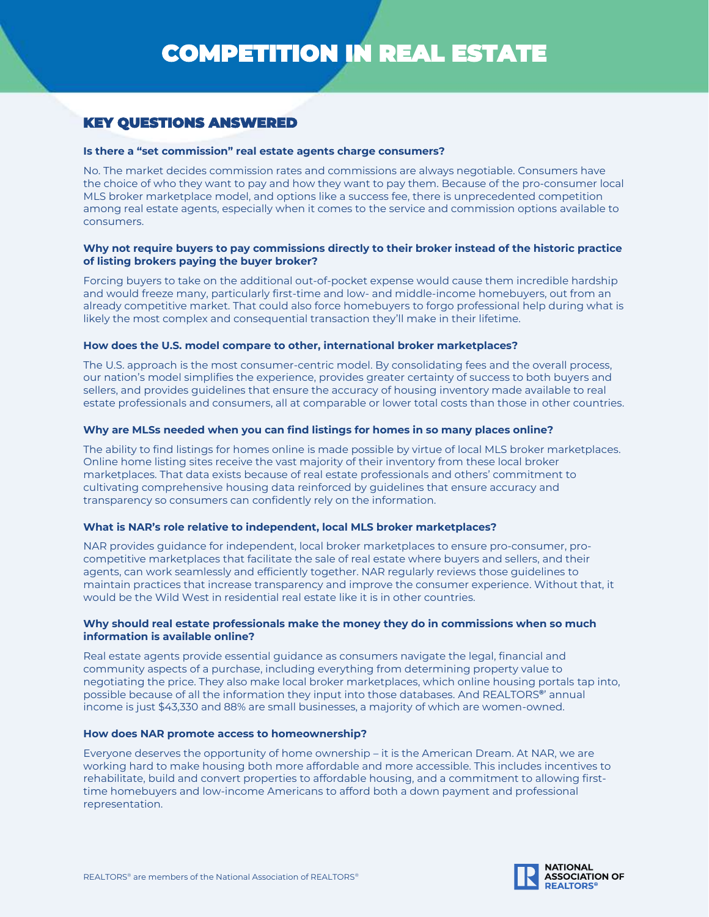# KEY QUESTIONS ANSWERED

# **Is there a "set commission" real estate agents charge consumers?**

No. The market decides commission rates and commissions are always negotiable. Consumers have the choice of who they want to pay and how they want to pay them. Because of the pro-consumer local MLS broker marketplace model, and options like a success fee, there is unprecedented competition among real estate agents, especially when it comes to the service and commission options available to consumers.

# **Why not require buyers to pay commissions directly to their broker instead of the historic practice of listing brokers paying the buyer broker?**

Forcing buyers to take on the additional out-of-pocket expense would cause them incredible hardship and would freeze many, particularly first-time and low- and middle-income homebuyers, out from an already competitive market. That could also force homebuyers to forgo professional help during what is likely the most complex and consequential transaction they'll make in their lifetime.

#### **How does the U.S. model compare to other, international broker marketplaces?**

The U.S. approach is the most consumer-centric model. By consolidating fees and the overall process, our nation's model simplifies the experience, provides greater certainty of success to both buyers and sellers, and provides guidelines that ensure the accuracy of housing inventory made available to real estate professionals and consumers, all at comparable or lower total costs than those in other countries.

#### **Why are MLSs needed when you can find listings for homes in so many places online?**

The ability to find listings for homes online is made possible by virtue of local MLS broker marketplaces. Online home listing sites receive the vast majority of their inventory from these local broker marketplaces. That data exists because of real estate professionals and others' commitment to cultivating comprehensive housing data reinforced by guidelines that ensure accuracy and transparency so consumers can confidently rely on the information.

#### **What is NAR's role relative to independent, local MLS broker marketplaces?**

NAR provides guidance for independent, local broker marketplaces to ensure pro-consumer, procompetitive marketplaces that facilitate the sale of real estate where buyers and sellers, and their agents, can work seamlessly and efficiently together. NAR regularly reviews those guidelines to maintain practices that increase transparency and improve the consumer experience. Without that, it would be the Wild West in residential real estate like it is in other countries.

## **Why should real estate professionals make the money they do in commissions when so much information is available online?**

Real estate agents provide essential guidance as consumers navigate the legal, financial and community aspects of a purchase, including everything from determining property value to negotiating the price. They also make local broker marketplaces, which online housing portals tap into, possible because of all the information they input into those databases. And REALTORS**®**' annual income is just \$43,330 and 88% are small businesses, a majority of which are women-owned.

#### **How does NAR promote access to homeownership?**

Everyone deserves the opportunity of home ownership – it is the American Dream. At NAR, we are working hard to make housing both more affordable and more accessible. This includes incentives to rehabilitate, build and convert properties to affordable housing, and a commitment to allowing firsttime homebuyers and low-income Americans to afford both a down payment and professional representation.